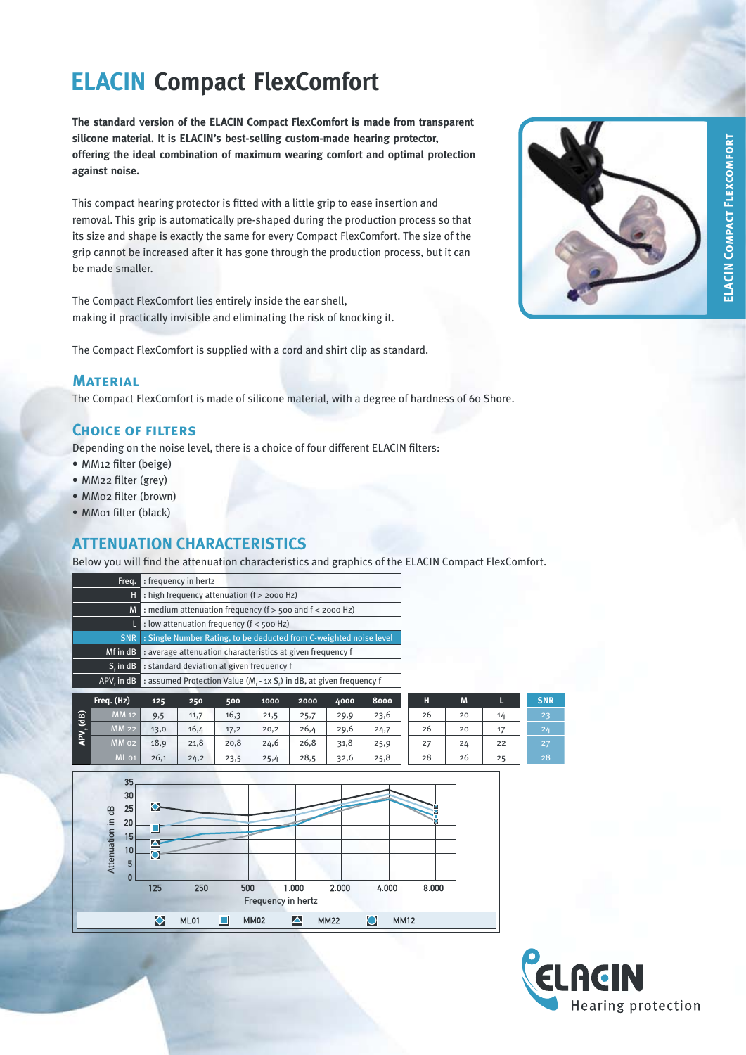# **ELACIN Compact FlexComfort**

**The standard version of the ELACIN Compact FlexComfort is made from transparent silicone material. It is ELACIN's best-selling custom-made hearing protector, offering the ideal combination of maximum wearing comfort and optimal protection against noise.** 

This compact hearing protector is fitted with a little grip to ease insertion and removal. This grip is automatically pre-shaped during the production process so that its size and shape is exactly the same for every Compact FlexComfort. The size of the grip cannot be increased after it has gone through the production process, but it can be made smaller.

The Compact FlexComfort lies entirely inside the ear shell, making it practically invisible and eliminating the risk of knocking it.

The Compact FlexComfort is supplied with a cord and shirt clip as standard.

#### **Material**

The Compact FlexComfort is made of silicone material, with a degree of hardness of 60 Shore.

### **Choice of filters**

Depending on the noise level, there is a choice of four different ELACIN filters:

- MM12 filter (beige)
- MM22 filter (grey)
- MM02 filter (brown)
- MM01 filter (black)

# **ATTENUATION CHARACTERISTICS**

Below you will find the attenuation characteristics and graphics of the ELACIN Compact FlexComfort.

| Freq.      | : frequency in hertz                                                |  |  |  |  |  |  |  |  |
|------------|---------------------------------------------------------------------|--|--|--|--|--|--|--|--|
| н          | : high frequency attenuation (f > 2000 Hz)                          |  |  |  |  |  |  |  |  |
| M          | : medium attenuation frequency ( $f >$ 500 and $f <$ 2000 Hz)       |  |  |  |  |  |  |  |  |
|            | : low attenuation frequency ( $f <$ 500 Hz)                         |  |  |  |  |  |  |  |  |
| <b>SNR</b> | : Single Number Rating, to be deducted from C-weighted noise level  |  |  |  |  |  |  |  |  |
| Mf in dB   | : average attenuation characteristics at given frequency f          |  |  |  |  |  |  |  |  |
| $Sc$ in dB | : standard deviation at given frequency f                           |  |  |  |  |  |  |  |  |
| APV, in dB | : assumed Protection Value (M, - 1x S,) in dB, at given frequency f |  |  |  |  |  |  |  |  |
| Frea. (Hz) | 8000<br>2000<br>4000<br>125<br>500<br>1000<br>250                   |  |  |  |  |  |  |  |  |

|                                  | Freq. (Hz)       | 125  | 250  | 500  | 1000 | 2000 | 4000 | 8000 | Н  | M  | ь  | <b>SNR</b> |
|----------------------------------|------------------|------|------|------|------|------|------|------|----|----|----|------------|
| $\mathbf{d}$<br>APV <sub>i</sub> | MM 12            | 9,5  | 11,7 | 16,3 | 21,5 | 25,7 | 29,9 | 23,6 | 26 | 20 | 14 | 23         |
|                                  | <b>MM 22</b>     | 13,0 | 16,4 | 17,2 | 20,2 | 26,4 | 29,6 | 24,7 | 26 | 20 | 17 | 24         |
|                                  | MM 02            | 18,9 | 21,8 | 20,8 | 24,6 | 26,8 | 31,8 | 25,9 | 27 | 24 | 22 | 27         |
|                                  | ML <sub>01</sub> | 26,1 | 24,2 | 23,5 | 25,4 | 28,5 | 32,6 | 25,8 | 28 | 26 | 25 | 28         |

| Attenuation in dB | 35<br>30<br>25<br>20<br>15 <sub>l</sub><br>10<br>5<br>0 | O<br>÷<br>125 | 250  |   | 500         | 1,000              | 2,000       |   | 4.000       | 8,000 |  |
|-------------------|---------------------------------------------------------|---------------|------|---|-------------|--------------------|-------------|---|-------------|-------|--|
|                   |                                                         |               |      |   |             | Frequency in hertz |             |   |             |       |  |
|                   |                                                         | $\bullet$     | ML01 | H | <b>MM02</b> | ٰ                  | <b>MM22</b> | O | <b>MM12</b> |       |  |

filter MM22 16.1 18.9 20.0 24.2 30.0 33.6 31.0 26 20 17 24 filter MM12 14.3 16.4 19.7 24.9 29.8 33.4 30.5 26 20 14 23

filter ML01 3.3 4.0 4.6 4.3 3.0 4.3 5.7 filter MM02 3.7 2.7 4.4 4.5 4.4 3.2 4.7 filter MM22 3.1 2.5 2.8 4.0 3.6 4.0 6.3 filter MM12 4.8 4.7 3.4 3.4 4.1 3.5 6.9



ELACIN COMPACT FLEXCOMFORT **ELACIN Compact Flexcomfort**